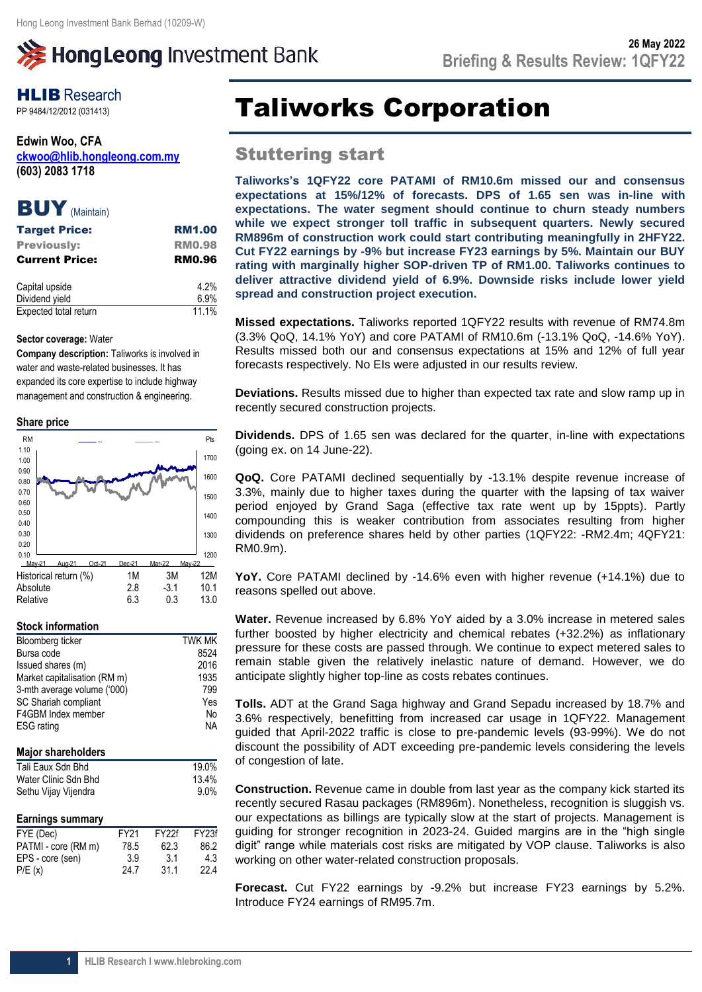# **》HongLeong Investment Bank**

## **HLIB** Research

**Edwin Woo, CFA [ckwoo@hlib.hongleong.com.my](mailto:ckwoo@hlib.hongleong.com.my) (603) 2083 1718**

### BUY (Maintain)

| <b>Target Price:</b>  | <b>RM1.00</b> |
|-----------------------|---------------|
| <b>Previously:</b>    | <b>RM0.98</b> |
| <b>Current Price:</b> | <b>RM0.96</b> |
| Capital upside        | 4.2%          |
| Dividend yield        | 6.9%          |
| Expected total return | 11.1%         |

### **Sector coverage:** Water

**Company description:** Taliworks is involved in water and waste-related businesses. It has expanded its core expertise to include highway management and construction & engineering.

### **Share price**

| <b>RM</b>    |                       |        |        |        | Pts        |
|--------------|-----------------------|--------|--------|--------|------------|
| 1.10<br>1.00 |                       |        |        |        | 1700       |
| 0.90         |                       |        |        |        |            |
| 0.80         |                       |        |        |        | 1600       |
| 0.70         |                       |        |        |        | 1500       |
| 0.60         |                       |        |        |        |            |
| 0.50         |                       |        |        |        | 1400       |
| 0.40         |                       |        |        |        |            |
| 0.30         |                       |        |        |        | 1300       |
| 0.20         |                       |        |        |        |            |
| 0.10         |                       |        |        |        | 1200       |
| May-21       | Aug-21                | Oct-21 | Dec-21 | Mar-22 | May-22     |
|              | Historical return (%) |        | 1M     | 3M     | <b>12M</b> |
| Absolute     |                       |        | 2.8    | $-3.1$ | 10.1       |
| Relative     |                       |        | 6.3    | 0.3    | 13.0       |

### **Stock information**

| Bloomberg ticker             | <b>TWK MK</b> |
|------------------------------|---------------|
| Bursa code                   | 8524          |
| Issued shares (m)            | 2016          |
| Market capitalisation (RM m) | 1935          |
| 3-mth average volume ('000)  | 799           |
| SC Shariah compliant         | Yes           |
| F4GBM Index member           | No            |
| <b>ESG</b> rating            | <b>NA</b>     |
|                              |               |
|                              |               |

### **Major shareholders**

| 19.0%   |
|---------|
| 13.4%   |
| $9.0\%$ |
|         |

### **Earnings summary**

| FYE (Dec)           | FY <sub>21</sub> | FY <sub>27</sub> f | FY <sub>23f</sub> |
|---------------------|------------------|--------------------|-------------------|
| PATMI - core (RM m) | 78.5             | 62.3               | 86.2              |
| EPS - core (sen)    | 3.9              | 3.1                | 4.3               |
| P/E(x)              | 24.7             | 31.1               | 22.4              |

## **PP 9484/12/2012 (031413) Taliworks Corporation**

### Stuttering start

**Taliworks's 1QFY22 core PATAMI of RM10.6m missed our and consensus expectations at 15%/12% of forecasts. DPS of 1.65 sen was in-line with expectations. The water segment should continue to churn steady numbers while we expect stronger toll traffic in subsequent quarters. Newly secured RM896m of construction work could start contributing meaningfully in 2HFY22. Cut FY22 earnings by -9% but increase FY23 earnings by 5%. Maintain our BUY rating with marginally higher SOP-driven TP of RM1.00. Taliworks continues to deliver attractive dividend yield of 6.9%. Downside risks include lower yield spread and construction project execution.**

**Missed expectations.** Taliworks reported 1QFY22 results with revenue of RM74.8m (3.3% QoQ, 14.1% YoY) and core PATAMI of RM10.6m (-13.1% QoQ, -14.6% YoY). Results missed both our and consensus expectations at 15% and 12% of full year forecasts respectively. No EIs were adjusted in our results review.

**Deviations.** Results missed due to higher than expected tax rate and slow ramp up in recently secured construction projects.

**Dividends.** DPS of 1.65 sen was declared for the quarter, in-line with expectations (going ex. on 14 June-22).

**QoQ.** Core PATAMI declined sequentially by -13.1% despite revenue increase of 3.3%, mainly due to higher taxes during the quarter with the lapsing of tax waiver period enjoyed by Grand Saga (effective tax rate went up by 15ppts). Partly compounding this is weaker contribution from associates resulting from higher dividends on preference shares held by other parties (1QFY22: -RM2.4m; 4QFY21: RM0.9m).

**YoY.** Core PATAMI declined by -14.6% even with higher revenue (+14.1%) due to reasons spelled out above.

**Water.** Revenue increased by 6.8% YoY aided by a 3.0% increase in metered sales further boosted by higher electricity and chemical rebates (+32.2%) as inflationary pressure for these costs are passed through. We continue to expect metered sales to remain stable given the relatively inelastic nature of demand. However, we do anticipate slightly higher top-line as costs rebates continues.

**Tolls.** ADT at the Grand Saga highway and Grand Sepadu increased by 18.7% and 3.6% respectively, benefitting from increased car usage in 1QFY22. Management guided that April-2022 traffic is close to pre-pandemic levels (93-99%). We do not discount the possibility of ADT exceeding pre-pandemic levels considering the levels of congestion of late.

**Construction.** Revenue came in double from last year as the company kick started its recently secured Rasau packages (RM896m). Nonetheless, recognition is sluggish vs. our expectations as billings are typically slow at the start of projects. Management is guiding for stronger recognition in 2023-24. Guided margins are in the "high single digit" range while materials cost risks are mitigated by VOP clause. Taliworks is also working on other water-related construction proposals.

**Forecast.** Cut FY22 earnings by -9.2% but increase FY23 earnings by 5.2%. Introduce FY24 earnings of RM95.7m.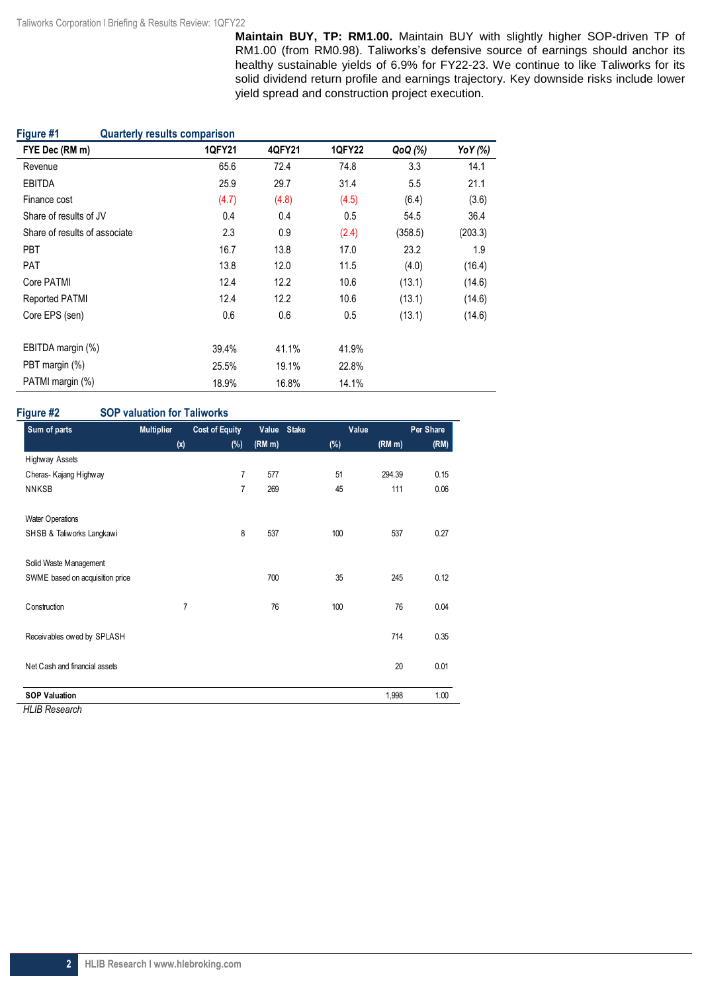**Maintain BUY, TP: RM1.00.** Maintain BUY with slightly higher SOP-driven TP of RM1.00 (from RM0.98). Taliworks's defensive source of earnings should anchor its healthy sustainable yields of 6.9% for FY22-23. We continue to like Taliworks for its solid dividend return profile and earnings trajectory. Key downside risks include lower yield spread and construction project execution.

| Figure #1<br><b>Quarterly results comparison</b> |               |        |        |         |         |
|--------------------------------------------------|---------------|--------|--------|---------|---------|
| FYE Dec (RM m)                                   | <b>1QFY21</b> | 4QFY21 | 1QFY22 | QoQ (%) | YoY (%) |
| Revenue                                          | 65.6          | 72.4   | 74.8   | 3.3     | 14.1    |
| <b>EBITDA</b>                                    | 25.9          | 29.7   | 31.4   | 5.5     | 21.1    |
| Finance cost                                     | (4.7)         | (4.8)  | (4.5)  | (6.4)   | (3.6)   |
| Share of results of JV                           | 0.4           | 0.4    | 0.5    | 54.5    | 36.4    |
| Share of results of associate                    | 2.3           | 0.9    | (2.4)  | (358.5) | (203.3) |
| <b>PBT</b>                                       | 16.7          | 13.8   | 17.0   | 23.2    | 1.9     |
| PAT                                              | 13.8          | 12.0   | 11.5   | (4.0)   | (16.4)  |
| Core PATMI                                       | 12.4          | 12.2   | 10.6   | (13.1)  | (14.6)  |
| <b>Reported PATMI</b>                            | 12.4          | 12.2   | 10.6   | (13.1)  | (14.6)  |
| Core EPS (sen)                                   | 0.6           | 0.6    | 0.5    | (13.1)  | (14.6)  |
| EBITDA margin (%)                                | 39.4%         | 41.1%  | 41.9%  |         |         |
| PBT margin (%)                                   | 25.5%         | 19.1%  | 22.8%  |         |         |
| PATMI margin (%)                                 | 18.9%         | 16.8%  | 14.1%  |         |         |

### **Figure #2 SOP valuation for Taliworks**

| Sum of parts                             | <b>Multiplier</b> | <b>Cost of Equity</b> | Value  | <b>Stake</b> | Value  | Per Share |
|------------------------------------------|-------------------|-----------------------|--------|--------------|--------|-----------|
|                                          | (x)               | $(\%)$                | (RM m) | (%)          | (RM m) | (RM)      |
| Highway Assets                           |                   |                       |        |              |        |           |
| Cheras-Kajang Highway                    |                   | $\overline{7}$        | 577    | 51           | 294.39 | 0.15      |
| <b>NNKSB</b>                             |                   | $\overline{7}$        | 269    | 45           | 111    | 0.06      |
| Water Operations                         |                   |                       |        |              |        |           |
| SHSB & Taliworks Langkawi                |                   | 8                     | 537    | 100          | 537    | 0.27      |
| Solid Waste Management                   |                   |                       |        |              |        |           |
| SWME based on acquisition price          |                   |                       | 700    | 35           | 245    | 0.12      |
| Construction                             | 7                 |                       | 76     | 100          | 76     | 0.04      |
| Receivables owed by SPLASH               |                   |                       |        |              | 714    | 0.35      |
| Net Cash and financial assets            |                   |                       |        |              | 20     | 0.01      |
| <b>SOP Valuation</b><br>111100<br>$\sim$ |                   |                       |        |              | 1,998  | 1.00      |

*HLIB Research*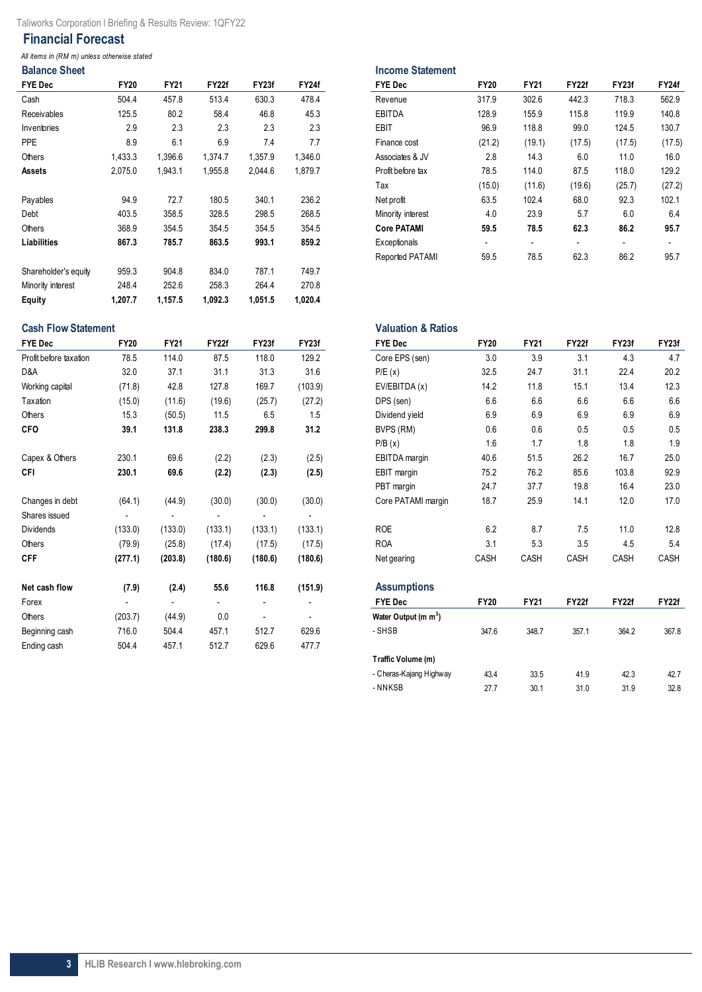### **Financial Forecast**

*All items in (RM m) unless otherwise stated*

|  | <b>Balance Sheet</b> |  |  |  |
|--|----------------------|--|--|--|

l,

| <b>FYE Dec</b>       | <b>FY20</b> | <b>FY21</b> | <b>FY22f</b> | FY23f   | <b>FY24f</b> | <b>FYE Dec</b>     | <b>FY20</b>              | <b>FY21</b> | <b>FY22f</b> | FY23f                    | FY24f                    |
|----------------------|-------------|-------------|--------------|---------|--------------|--------------------|--------------------------|-------------|--------------|--------------------------|--------------------------|
| Cash                 | 504.4       | 457.8       | 513.4        | 630.3   | 478.4        | Revenue            | 317.9                    | 302.6       | 442.3        | 718.3                    | 562.9                    |
| Receivables          | 125.5       | 80.2        | 58.4         | 46.8    | 45.3         | <b>EBITDA</b>      | 128.9                    | 155.9       | 115.8        | 119.9                    | 140.8                    |
| Inventories          | 2.9         | 2.3         | 2.3          | 2.3     | 2.3          | EBIT               | 96.9                     | 118.8       | 99.0         | 124.5                    | 130.7                    |
| <b>PPE</b>           | 8.9         | 6.1         | 6.9          | 7.4     | 7.7          | Finance cost       | (21.2)                   | (19.1)      | (17.5)       | (17.5)                   | (17.5)                   |
| Others               | 1,433.3     | 1,396.6     | 1,374.7      | 1,357.9 | 1,346.0      | Associates & JV    | 2.8                      | 14.3        | 6.0          | 11.0                     | 16.0                     |
| Assets               | 2,075.0     | 1,943.1     | 1,955.8      | 2,044.6 | 1,879.7      | Profit before tax  | 78.5                     | 114.0       | 87.5         | 118.0                    | 129.2                    |
|                      |             |             |              |         |              | Tax                | (15.0)                   | (11.6)      | (19.6)       | (25.7)                   | (27.2)                   |
| Payables             | 94.9        | 72.7        | 180.5        | 340.1   | 236.2        | Net profit         | 63.5                     | 102.4       | 68.0         | 92.3                     | 102.1                    |
| Debt                 | 403.5       | 358.5       | 328.5        | 298.5   | 268.5        | Minority interest  | 4.0                      | 23.9        | 5.7          | 6.0                      | 6.4                      |
| Others               | 368.9       | 354.5       | 354.5        | 354.5   | 354.5        | <b>Core PATAMI</b> | 59.5                     | 78.5        | 62.3         | 86.2                     | 95.7                     |
| Liabilities          | 867.3       | 785.7       | 863.5        | 993.1   | 859.2        | Exceptionals       | $\overline{\phantom{a}}$ |             |              | $\overline{\phantom{0}}$ | $\overline{\phantom{a}}$ |
|                      |             |             |              |         |              | Reported PATAMI    | 59.5                     | 78.5        | 62.3         | 86.2                     | 95.7                     |
| Shareholder's equity | 959.3       | 904.8       | 834.0        | 787.1   | 749.7        |                    |                          |             |              |                          |                          |
| Minority interest    | 248.4       | 252.6       | 258.3        | 264.4   | 270.8        |                    |                          |             |              |                          |                          |
| Equity               | 1.207.7     | 1,157.5     | 1,092.3      | 1,051.5 | 1,020.4      |                    |                          |             |              |                          |                          |

| <b>Balance Sheet</b> |             |             |         |         |         | <b>Income Statement</b> |                          |             |              |                          |                |
|----------------------|-------------|-------------|---------|---------|---------|-------------------------|--------------------------|-------------|--------------|--------------------------|----------------|
| FYE Dec              | <b>FY20</b> | <b>FY21</b> | FY22f   | FY23f   | FY24f   | <b>FYE Dec</b>          | <b>FY20</b>              | <b>FY21</b> | <b>FY22f</b> | FY23f                    | <b>FY24f</b>   |
| Cash                 | 504.4       | 457.8       | 513.4   | 630.3   | 478.4   | Revenue                 | 317.9                    | 302.6       | 442.3        | 718.3                    | 562.9          |
| Receivables          | 125.5       | 80.2        | 58.4    | 46.8    | 45.3    | <b>EBITDA</b>           | 128.9                    | 155.9       | 115.8        | 119.9                    | 140.8          |
| Inventories          | 2.9         | 2.3         | 2.3     | 2.3     | 2.3     | <b>EBIT</b>             | 96.9                     | 118.8       | 99.0         | 124.5                    | 130.7          |
| PPE                  | 8.9         | 6.1         | 6.9     | 7.4     | 7.7     | Finance cost            | (21.2)                   | (19.1)      | (17.5)       | (17.5)                   | (17.5)         |
| Others               | 1,433.3     | 1,396.6     | 1.374.7 | 1,357.9 | 1,346.0 | Associates & JV         | 2.8                      | 14.3        | 6.0          | 11.0                     | 16.0           |
| Assets               | 2,075.0     | 1,943.1     | 1,955.8 | 2,044.6 | 1,879.7 | Profit before tax       | 78.5                     | 114.0       | 87.5         | 118.0                    | 129.2          |
|                      |             |             |         |         |         | Tax                     | (15.0)                   | (11.6)      | (19.6)       | (25.7)                   | (27.2)         |
| Payables             | 94.9        | 72.7        | 180.5   | 340.1   | 236.2   | Net profit              | 63.5                     | 102.4       | 68.0         | 92.3                     | 102.1          |
| Debt                 | 403.5       | 358.5       | 328.5   | 298.5   | 268.5   | Minority interest       | 4.0                      | 23.9        | 5.7          | 6.0                      | 6.4            |
| Others               | 368.9       | 354.5       | 354.5   | 354.5   | 354.5   | <b>Core PATAMI</b>      | 59.5                     | 78.5        | 62.3         | 86.2                     | 95.7           |
| Liabilities          | 867.3       | 785.7       | 863.5   | 993.1   | 859.2   | Exceptionals            | $\overline{\phantom{0}}$ |             |              | $\overline{\phantom{a}}$ | $\blacksquare$ |
|                      |             |             |         |         |         | Reported PATAMI         | 59.5                     | 78.5        | 62.3         | 86.2                     | 95.7           |

| <b>Cash Flow Statement</b> |             |                          |                          | <b>Valuation &amp; Ratios</b> |         |                                  |             |             |       |       |              |
|----------------------------|-------------|--------------------------|--------------------------|-------------------------------|---------|----------------------------------|-------------|-------------|-------|-------|--------------|
| <b>FYE Dec</b>             | <b>FY20</b> | <b>FY21</b>              | FY22f                    | FY23f                         | FY23f   | <b>FYE Dec</b>                   | <b>FY20</b> | <b>FY21</b> | FY22f | FY23f | FY23f        |
| Profit before taxation     | 78.5        | 114.0                    | 87.5                     | 118.0                         | 129.2   | Core EPS (sen)                   | 3.0         | 3.9         | 3.1   | 4.3   | 4.7          |
| D&A                        | 32.0        | 37.1                     | 31.1                     | 31.3                          | 31.6    | P/E(x)                           | 32.5        | 24.7        | 31.1  | 22.4  | 20.2         |
| Working capital            | (71.8)      | 42.8                     | 127.8                    | 169.7                         | (103.9) | EV/EBITDA (x)                    | 14.2        | 11.8        | 15.1  | 13.4  | 12.3         |
| Taxation                   | (15.0)      | (11.6)                   | (19.6)                   | (25.7)                        | (27.2)  | DPS (sen)                        | 6.6         | 6.6         | 6.6   | 6.6   | 6.6          |
| Others                     | 15.3        | (50.5)                   | 11.5                     | 6.5                           | 1.5     | Dividend yield                   | 6.9         | 6.9         | 6.9   | 6.9   | 6.9          |
| <b>CFO</b>                 | 39.1        | 131.8                    | 238.3                    | 299.8                         | 31.2    | BVPS (RM)                        | 0.6         | 0.6         | 0.5   | 0.5   | 0.5          |
|                            |             |                          |                          |                               |         | P/B(x)                           | 1.6         | 1.7         | 1.8   | 1.8   | 1.9          |
| Capex & Others             | 230.1       | 69.6                     | (2.2)                    | (2.3)                         | (2.5)   | EBITDA margin                    | 40.6        | 51.5        | 26.2  | 16.7  | 25.0         |
| CFI                        | 230.1       | 69.6                     | (2.2)                    | (2.3)                         | (2.5)   | EBIT margin                      | 75.2        | 76.2        | 85.6  | 103.8 | 92.9         |
|                            |             |                          |                          |                               |         | PBT margin                       | 24.7        | 37.7        | 19.8  | 16.4  | 23.0         |
| Changes in debt            | (64.1)      | (44.9)                   | (30.0)                   | (30.0)                        | (30.0)  | Core PATAMI margin               | 18.7        | 25.9        | 14.1  | 12.0  | 17.0         |
| Shares issued              |             |                          |                          |                               |         |                                  |             |             |       |       |              |
| <b>Dividends</b>           | (133.0)     | (133.0)                  | (133.1)                  | (133.1)                       | (133.1) | <b>ROE</b>                       | 6.2         | 8.7         | 7.5   | 11.0  | 12.8         |
| Others                     | (79.9)      | (25.8)                   | (17.4)                   | (17.5)                        | (17.5)  | <b>ROA</b>                       | 3.1         | 5.3         | 3.5   | 4.5   | 5.4          |
| <b>CFF</b>                 | (277.1)     | (203.8)                  | (180.6)                  | (180.6)                       | (180.6) | Net gearing                      | CASH        | CASH        | CASH  | CASH  | CASH         |
| Net cash flow              | (7.9)       | (2.4)                    | 55.6                     | 116.8                         | (151.9) | <b>Assumptions</b>               |             |             |       |       |              |
| Forex                      |             | $\overline{\phantom{0}}$ | $\overline{\phantom{a}}$ |                               |         | <b>FYE Dec</b>                   | <b>FY20</b> | <b>FY21</b> | FY22f | FY22f | <b>FY22f</b> |
| Others                     | (203.7)     | (44.9)                   | 0.0                      |                               |         | Water Output (m m <sup>3</sup> ) |             |             |       |       |              |
| Beginning cash             | 716.0       | 504.4                    | 457.1                    | 512.7                         | 629.6   | - SHSB                           | 347.6       | 348.7       | 357.1 | 364.2 | 367.8        |
| Ending cash                | 504.4       | 457.1                    | 512.7                    | 629.6                         | 477.7   |                                  |             |             |       |       |              |

| valuativii u Rativo              |             |             |              |              |              |
|----------------------------------|-------------|-------------|--------------|--------------|--------------|
| <b>FYE Dec</b>                   | <b>FY20</b> | <b>FY21</b> | <b>FY22f</b> | FY23f        | FY23f        |
| Core EPS (sen)                   | 3.0         | 3.9         | 3.1          | 4.3          | 4.7          |
| P/E(x)                           | 32.5        | 24.7        | 31.1         | 22.4         | 20.2         |
| EV/EBITDA (x)                    | 14.2        | 11.8        | 15.1         | 13.4         | 12.3         |
| DPS (sen)                        | 6.6         | 6.6         | 6.6          | 6.6          | 6.6          |
| Dividend yield                   | 6.9         | 6.9         | 6.9          | 6.9          | 6.9          |
| BVPS (RM)                        | 0.6         | 0.6         | 0.5          | 0.5          | 0.5          |
| P/B(x)                           | 1.6         | 1.7         | 1.8          | 1.8          | 1.9          |
| EBITDA margin                    | 40.6        | 51.5        | 26.2         | 16.7         | 25.0         |
| EBIT margin                      | 75.2        | 76.2        | 85.6         | 103.8        | 92.9         |
| PBT margin                       | 24.7        | 37.7        | 19.8         | 16.4         | 23.0         |
| Core PATAMI margin               | 18.7        | 25.9        | 14.1         | 12.0         | 17.0         |
| <b>ROE</b>                       | 6.2         | 8.7         | 7.5          | 11.0         | 12.8         |
| <b>ROA</b>                       | 3.1         | 5.3         | 3.5          | 4.5          | 5.4          |
| Net gearing                      | CASH        | CASH        | CASH         | CASH         | CASH         |
| <b>Assumptions</b>               |             |             |              |              |              |
| <b>FYE Dec</b>                   | <b>FY20</b> | FY21        | FY22f        | <b>FY22f</b> | <b>FY22f</b> |
| Water Output (m m <sup>3</sup> ) |             |             |              |              |              |
| - SHSB                           | 347.6       | 348.7       | 357.1        | 364.2        | 367.8        |
| Traffic Volume (m)               |             |             |              |              |              |
| - Cheras-Kajang Highway          | 43.4        | 33.5        | 41.9         | 42.3         | 42.7         |
| - NNKSB                          | 27.7        | 30.1        | 31.0         | 31.9         | 32.8         |
|                                  |             |             |              |              |              |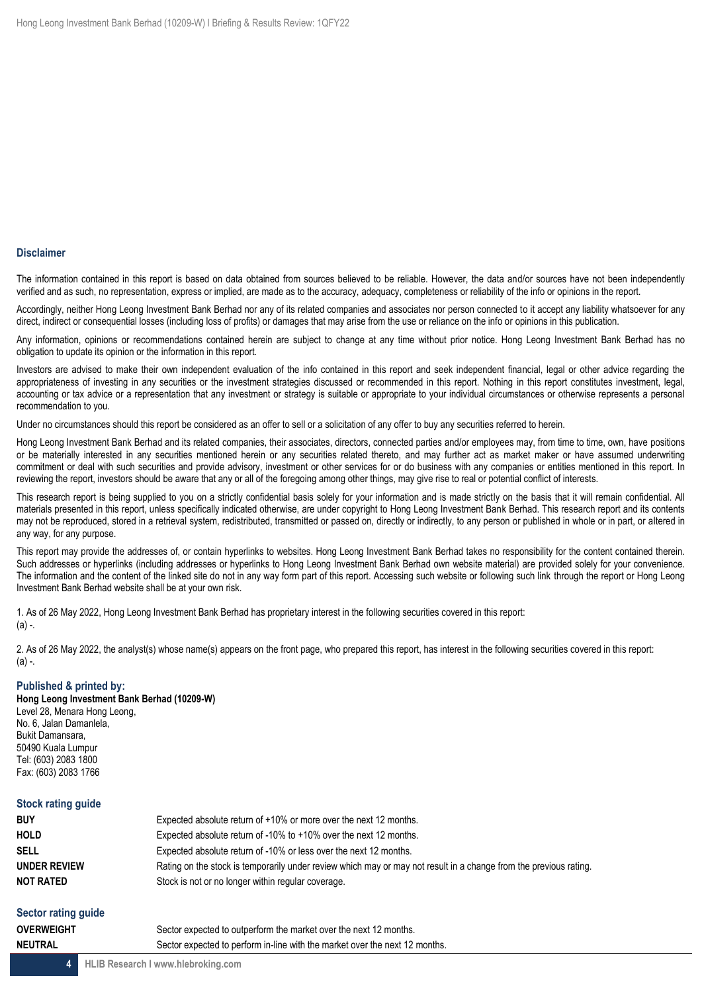### **Disclaimer**

The information contained in this report is based on data obtained from sources believed to be reliable. However, the data and/or sources have not been independently verified and as such, no representation, express or implied, are made as to the accuracy, adequacy, completeness or reliability of the info or opinions in the report.

Accordingly, neither Hong Leong Investment Bank Berhad nor any of its related companies and associates nor person connected to it accept any liability whatsoever for any direct, indirect or consequential losses (including loss of profits) or damages that may arise from the use or reliance on the info or opinions in this publication.

Any information, opinions or recommendations contained herein are subject to change at any time without prior notice. Hong Leong Investment Bank Berhad has no obligation to update its opinion or the information in this report.

Investors are advised to make their own independent evaluation of the info contained in this report and seek independent financial, legal or other advice regarding the appropriateness of investing in any securities or the investment strategies discussed or recommended in this report. Nothing in this report constitutes investment, legal, accounting or tax advice or a representation that any investment or strategy is suitable or appropriate to your individual circumstances or otherwise represents a personal recommendation to you.

Under no circumstances should this report be considered as an offer to sell or a solicitation of any offer to buy any securities referred to herein.

Hong Leong Investment Bank Berhad and its related companies, their associates, directors, connected parties and/or employees may, from time to time, own, have positions or be materially interested in any securities mentioned herein or any securities related thereto, and may further act as market maker or have assumed underwriting commitment or deal with such securities and provide advisory, investment or other services for or do business with any companies or entities mentioned in this report. In reviewing the report, investors should be aware that any or all of the foregoing among other things, may give rise to real or potential conflict of interests.

This research report is being supplied to you on a strictly confidential basis solely for your information and is made strictly on the basis that it will remain confidential. All materials presented in this report, unless specifically indicated otherwise, are under copyright to Hong Leong Investment Bank Berhad. This research report and its contents may not be reproduced, stored in a retrieval system, redistributed, transmitted or passed on, directly or indirectly, to any person or published in whole or in part, or altered in any way, for any purpose.

This report may provide the addresses of, or contain hyperlinks to websites. Hong Leong Investment Bank Berhad takes no responsibility for the content contained therein. Such addresses or hyperlinks (including addresses or hyperlinks to Hong Leong Investment Bank Berhad own website material) are provided solely for your convenience. The information and the content of the linked site do not in any way form part of this report. Accessing such website or following such link through the report or Hong Leong Investment Bank Berhad website shall be at your own risk.

1. As of 26 May 2022, Hong Leong Investment Bank Berhad has proprietary interest in the following securities covered in this report: (a) -.

2. As of 26 May 2022, the analyst(s) whose name(s) appears on the front page, who prepared this report, has interest in the following securities covered in this report: (a) -.

#### **Published & printed by:**

**Hong Leong Investment Bank Berhad (10209-W)** Level 28, Menara Hong Leong, No. 6, Jalan Damanlela, Bukit Damansara, 50490 Kuala Lumpur Tel: (603) 2083 1800 Fax: (603) 2083 1766

#### **Stock rating guide**

| <b>BUY</b>       | Expected absolute return of $+10\%$ or more over the next 12 months.                                              |  |
|------------------|-------------------------------------------------------------------------------------------------------------------|--|
| <b>HOLD</b>      | Expected absolute return of -10% to +10% over the next 12 months.                                                 |  |
| <b>SELL</b>      | Expected absolute return of -10% or less over the next 12 months.                                                 |  |
| UNDER REVIEW     | Rating on the stock is temporarily under review which may or may not result in a change from the previous rating. |  |
| <b>NOT RATED</b> | Stock is not or no longer within regular coverage.                                                                |  |
|                  |                                                                                                                   |  |

## **Sector rating guide**

| overweight | Sector expected to outperform the market over the next 12 months.           |
|------------|-----------------------------------------------------------------------------|
| NEUTRAL    | Sector expected to perform in-line with the market over the next 12 months. |
|            |                                                                             |